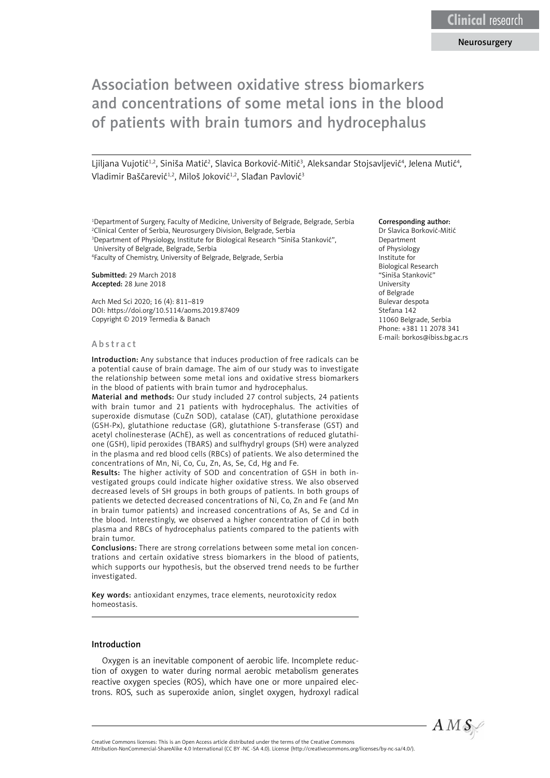#### Neurosurgery

# Association between oxidative stress biomarkers and concentrations of some metal ions in the blood of patients with brain tumors and hydrocephalus

Ljiljana Vujotić<sup>1,2</sup>, Siniša Matić<sup>2</sup>, Slavica Borković-Mitić<sup>3</sup>, Aleksandar Stojsavljević<sup>4</sup>, Jelena Mutić<sup>4</sup>, Vladimir Baščarević<sup>1,2</sup>, Miloš Joković<sup>1,2</sup>, Slađan Pavlović<sup>3</sup>

 Department of Surgery, Faculty of Medicine, University of Belgrade, Belgrade, Serbia Clinical Center of Serbia, Neurosurgery Division, Belgrade, Serbia Department of Physiology, Institute for Biological Research "Siniša Stanković", University of Belgrade, Belgrade, Serbia

4 Faculty of Chemistry, University of Belgrade, Belgrade, Serbia

Submitted: 29 March 2018 Accepted: 28 June 2018

Arch Med Sci 2020; 16 (4): 811–819 DOI: https://doi.org/10.5114/aoms.2019.87409 Copyright © 2019 Termedia & Banach

#### Abstract

Introduction: Any substance that induces production of free radicals can be a potential cause of brain damage. The aim of our study was to investigate the relationship between some metal ions and oxidative stress biomarkers in the blood of patients with brain tumor and hydrocephalus.

Material and methods: Our study included 27 control subjects, 24 patients with brain tumor and 21 patients with hydrocephalus. The activities of superoxide dismutase (CuZn SOD), catalase (CAT), glutathione peroxidase (GSH-Px), glutathione reductase (GR), glutathione S-transferase (GST) and acetyl cholinesterase (AChE), as well as concentrations of reduced glutathione (GSH), lipid peroxides (TBARS) and sulfhydryl groups (SH) were analyzed in the plasma and red blood cells (RBCs) of patients. We also determined the concentrations of Mn, Ni, Co, Cu, Zn, As, Se, Cd, Hg and Fe.

Results: The higher activity of SOD and concentration of GSH in both investigated groups could indicate higher oxidative stress. We also observed decreased levels of SH groups in both groups of patients. In both groups of patients we detected decreased concentrations of Ni, Co, Zn and Fe (and Mn in brain tumor patients) and increased concentrations of As, Se and Cd in the blood. Interestingly, we observed a higher concentration of Cd in both plasma and RBCs of hydrocephalus patients compared to the patients with brain tumor.

Conclusions: There are strong correlations between some metal ion concentrations and certain oxidative stress biomarkers in the blood of patients, which supports our hypothesis, but the observed trend needs to be further investigated.

Key words: antioxidant enzymes, trace elements, neurotoxicity redox homeostasis.

#### Introduction

Oxygen is an inevitable component of aerobic life. Incomplete reduction of oxygen to water during normal aerobic metabolism generates reactive oxygen species (ROS), which have one or more unpaired electrons. ROS, such as superoxide anion, singlet oxygen, hydroxyl radical

#### Corresponding author:

Dr Slavica Borković-Mitić Department of Physiology Institute for Biological Research "Siniša Stanković" University of Belgrade Bulevar despota Stefana 142 11060 Belgrade, Serbia Phone: +381 11 2078 341 E-mail: [borkos@ibiss.bg.ac.rs](mailto:borkos@ibiss.bg.ac.rs)

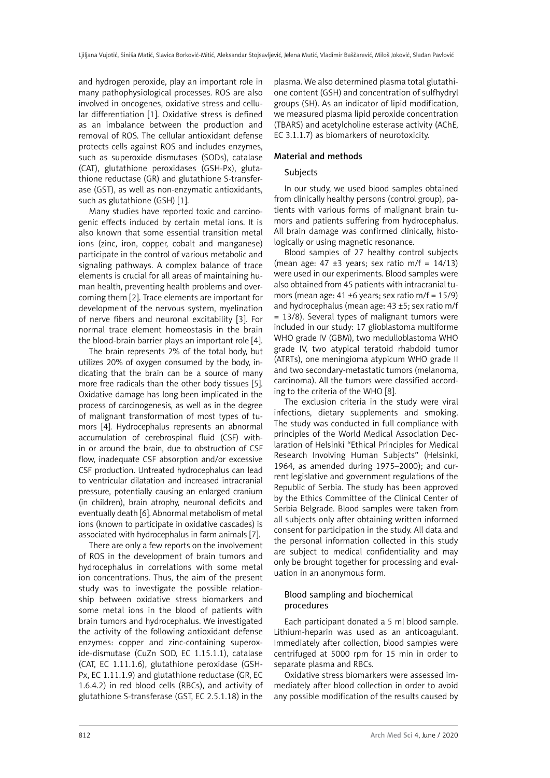and hydrogen peroxide, play an important role in many pathophysiological processes. ROS are also involved in oncogenes, oxidative stress and cellular differentiation [1]. Oxidative stress is defined as an imbalance between the production and removal of ROS. The cellular antioxidant defense protects cells against ROS and includes enzymes, such as superoxide dismutases (SODs), catalase (CAT), glutathione peroxidases (GSH-Px), glutathione reductase (GR) and glutathione S-transferase (GST), as well as non-enzymatic antioxidants, such as glutathione (GSH) [1].

Many studies have reported toxic and carcinogenic effects induced by certain metal ions. It is also known that some essential transition metal ions (zinc, iron, copper, cobalt and manganese) participate in the control of various metabolic and signaling pathways. A complex balance of trace elements is crucial for all areas of maintaining human health, preventing health problems and overcoming them [2]. Trace elements are important for development of the nervous system, myelination of nerve fibers and neuronal excitability [3]. For normal trace element homeostasis in the brain the blood-brain barrier plays an important role [4].

The brain represents 2% of the total body, but utilizes 20% of oxygen consumed by the body, indicating that the brain can be a source of many more free radicals than the other body tissues [5]. Oxidative damage has long been implicated in the process of carcinogenesis, as well as in the degree of malignant transformation of most types of tumors [4]. Hydrocephalus represents an abnormal accumulation of cerebrospinal fluid (CSF) within or around the brain, due to obstruction of CSF flow, inadequate CSF absorption and/or excessive CSF production. Untreated hydrocephalus can lead to ventricular dilatation and increased intracranial pressure, potentially causing an enlarged cranium (in children), brain atrophy, neuronal deficits and eventually death [6]. Abnormal metabolism of metal ions (known to participate in oxidative cascades) is associated with hydrocephalus in farm animals [7].

There are only a few reports on the involvement of ROS in the development of brain tumors and hydrocephalus in correlations with some metal ion concentrations. Thus, the aim of the present study was to investigate the possible relationship between oxidative stress biomarkers and some metal ions in the blood of patients with brain tumors and hydrocephalus. We investigated the activity of the following antioxidant defense enzymes: copper and zinc-containing superoxide-dismutase (CuZn SOD, EC 1.15.1.1), catalase (CAT, EC 1.11.1.6), glutathione peroxidase (GSH-Px, EC 1.11.1.9) and glutathione reductase (GR, EC 1.6.4.2) in red blood cells (RBCs), and activity of glutathione S-transferase (GST, EC 2.5.1.18) in the plasma. We also determined plasma total glutathione content (GSH) and concentration of sulfhydryl groups (SH). As an indicator of lipid modification, we measured plasma lipid peroxide concentration (TBARS) and acetylcholine esterase activity (AChE, EC 3.1.1.7) as biomarkers of neurotoxicity.

## Material and methods

## Subjects

In our study, we used blood samples obtained from clinically healthy persons (control group), patients with various forms of malignant brain tumors and patients suffering from hydrocephalus. All brain damage was confirmed clinically, histologically or using magnetic resonance.

Blood samples of 27 healthy control subjects (mean age:  $47 \pm 3$  years; sex ratio m/f =  $14/13$ ) were used in our experiments. Blood samples were also obtained from 45 patients with intracranial tumors (mean age: 41  $\pm$ 6 years; sex ratio m/f = 15/9) and hydrocephalus (mean age: 43 ±5; sex ratio m/f = 13/8). Several types of malignant tumors were included in our study: 17 glioblastoma multiforme WHO grade IV (GBM), two medulloblastoma WHO grade IV, two atypical teratoid rhabdoid tumor (ATRTs), one meningioma atypicum WHO grade II and two secondary-metastatic tumors (melanoma, carcinoma). All the tumors were classified according to the criteria of the WHO [8].

The exclusion criteria in the study were viral infections, dietary supplements and smoking. The study was conducted in full compliance with principles of the World Medical Association Declaration of Helsinki "Ethical Principles for Medical Research Involving Human Subjects" (Helsinki, 1964, as amended during 1975–2000); and current legislative and government regulations of the Republic of Serbia. The study has been approved by the Ethics Committee of the Clinical Center of Serbia Belgrade. Blood samples were taken from all subjects only after obtaining written informed consent for participation in the study. All data and the personal information collected in this study are subject to medical confidentiality and may only be brought together for processing and evaluation in an anonymous form.

## Blood sampling and biochemical procedures

Each participant donated a 5 ml blood sample. Lithium-heparin was used as an anticoagulant. Immediately after collection, blood samples were centrifuged at 5000 rpm for 15 min in order to separate plasma and RBCs.

Oxidative stress biomarkers were assessed immediately after blood collection in order to avoid any possible modification of the results caused by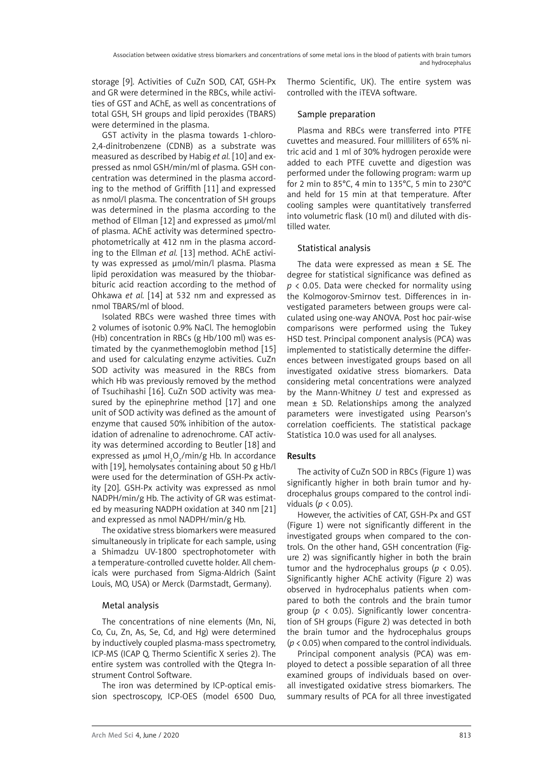storage [9]. Activities of CuZn SOD, CAT, GSH-Px and GR were determined in the RBCs, while activities of GST and AChE, as well as concentrations of total GSH, SH groups and lipid peroxides (TBARS) were determined in the plasma.

GST activity in the plasma towards 1-chloro-2,4-dinitrobenzene (CDNB) as a substrate was measured as described by Habig *et al.* [10] and expressed as nmol GSH/min/ml of plasma. GSH concentration was determined in the plasma according to the method of Griffith [11] and expressed as nmol/l plasma. The concentration of SH groups was determined in the plasma according to the method of Ellman [12] and expressed as μmol/ml of plasma. AChE activity was determined spectrophotometrically at 412 nm in the plasma according to the Ellman *et al.* [13] method. AChE activity was expressed as μmol/min/l plasma. Plasma lipid peroxidation was measured by the thiobarbituric acid reaction according to the method of Ohkawa *et al.* [14] at 532 nm and expressed as nmol TBARS/ml of blood.

Isolated RBCs were washed three times with 2 volumes of isotonic 0.9% NaCl. The hemoglobin (Hb) concentration in RBCs (g Hb/100 ml) was estimated by the cyanmethemoglobin method [15] and used for calculating enzyme activities. CuZn SOD activity was measured in the RBCs from which Hb was previously removed by the method of Tsuchihashi [16]. CuZn SOD activity was measured by the epinephrine method [17] and one unit of SOD activity was defined as the amount of enzyme that caused 50% inhibition of the autoxidation of adrenaline to adrenochrome. CAT activity was determined according to Beutler [18] and expressed as  $\mu$ mol H<sub>2</sub>O<sub>2</sub>/min/g Hb. In accordance with [19], hemolysates containing about 50 g Hb/l were used for the determination of GSH-Px activity [20]. GSH-Px activity was expressed as nmol NADPH/min/g Hb. The activity of GR was estimated by measuring NADPH oxidation at 340 nm [21] and expressed as nmol NADPH/min/g Hb.

The oxidative stress biomarkers were measured simultaneously in triplicate for each sample, using a Shimadzu UV-1800 spectrophotometer with a temperature-controlled cuvette holder. All chemicals were purchased from Sigma-Aldrich (Saint Louis, MO, USA) or Merck (Darmstadt, Germany).

# Metal analysis

The concentrations of nine elements (Mn, Ni, Co, Cu, Zn, As, Se, Cd, and Hg) were determined by inductively coupled plasma-mass spectrometry, ICP-MS (ICAP Q, Thermo Scientific X series 2). The entire system was controlled with the Qtegra Instrument Control Software.

The iron was determined by ICP-optical emission spectroscopy, ICP-OES (model 6500 Duo, Thermo Scientific, UK). The entire system was controlled with the iTEVA software.

# Sample preparation

Plasma and RBCs were transferred into PTFE cuvettes and measured. Four milliliters of 65% nitric acid and 1 ml of 30% hydrogen peroxide were added to each PTFE cuvette and digestion was performed under the following program: warm up for 2 min to 85°C, 4 min to 135°C, 5 min to 230°C and held for 15 min at that temperature. After cooling samples were quantitatively transferred into volumetric flask (10 ml) and diluted with distilled water.

# Statistical analysis

The data were expressed as mean  $\pm$  SE. The degree for statistical significance was defined as *p* < 0.05. Data were checked for normality using the Kolmogorov*-*Smirnov test. Differences in investigated parameters between groups were calculated using one-way ANOVA. Post hoc pair-wise comparisons were performed using the Tukey HSD test. Principal component analysis (PCA) was implemented to statistically determine the differences between investigated groups based on all investigated oxidative stress biomarkers. Data considering metal concentrations were analyzed by the Mann-Whitney *U* test and expressed as mean ± SD. Relationships among the analyzed parameters were investigated using Pearson's correlation coefficients. The statistical package Statistica 10.0 was used for all analyses.

# Results

The activity of CuZn SOD in RBCs (Figure 1) was significantly higher in both brain tumor and hydrocephalus groups compared to the control individuals (*p* < 0.05).

However, the activities of CAT, GSH-Px and GST (Figure 1) were not significantly different in the investigated groups when compared to the controls. On the other hand, GSH concentration (Figure 2) was significantly higher in both the brain tumor and the hydrocephalus groups ( $p < 0.05$ ). Significantly higher AChE activity (Figure 2) was observed in hydrocephalus patients when compared to both the controls and the brain tumor group (*p* < 0.05). Significantly lower concentration of SH groups (Figure 2) was detected in both the brain tumor and the hydrocephalus groups (*p* < 0.05) when compared to the control individuals.

Principal component analysis (PCA) was employed to detect a possible separation of all three examined groups of individuals based on overall investigated oxidative stress biomarkers. The summary results of PCA for all three investigated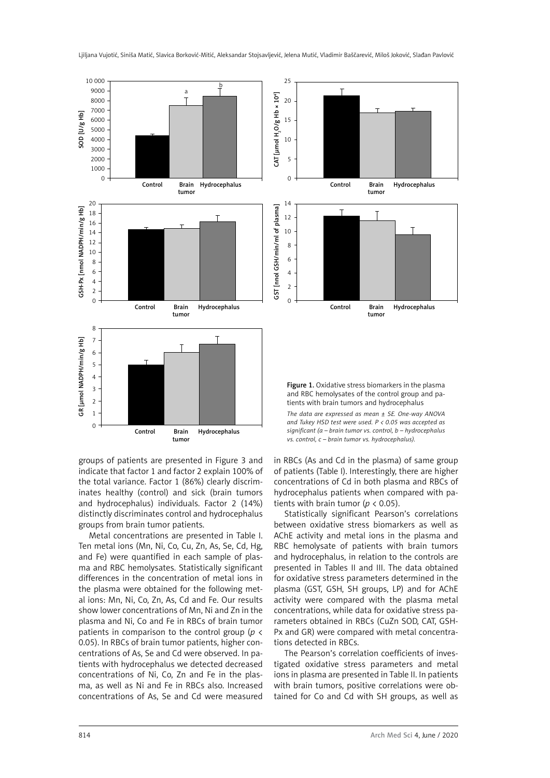

groups of patients are presented in Figure 3 and indicate that factor 1 and factor 2 explain 100% of the total variance. Factor 1 (86%) clearly discriminates healthy (control) and sick (brain tumors and hydrocephalus) individuals. Factor 2 (14%) distinctly discriminates control and hydrocephalus groups from brain tumor patients.

Metal concentrations are presented in Table I. Ten metal ions (Mn, Ni, Co, Cu, Zn, As, Se, Cd, Hg, and Fe) were quantified in each sample of plasma and RBC hemolysates. Statistically significant differences in the concentration of metal ions in the plasma were obtained for the following metal ions: Mn, Ni, Co, Zn, As, Cd and Fe. Our results show lower concentrations of Mn, Ni and Zn in the plasma and Ni, Co and Fe in RBCs of brain tumor patients in comparison to the control group (*p* < 0.05). In RBCs of brain tumor patients, higher concentrations of As, Se and Cd were observed. In patients with hydrocephalus we detected decreased concentrations of Ni, Co, Zn and Fe in the plasma, as well as Ni and Fe in RBCs also. Increased concentrations of As, Se and Cd were measured



Figure 1. Oxidative stress biomarkers in the plasma and RBC hemolysates of the control group and patients with brain tumors and hydrocephalus

*The data are expressed as mean ± SE. One-way ANOVA and Tukey HSD test were used. P < 0.05 was accepted as significant (a – brain tumor vs. control, b – hydrocephalus vs. control, c – brain tumor vs. hydrocephalus).*

in RBCs (As and Cd in the plasma) of same group of patients (Table I). Interestingly, there are higher concentrations of Cd in both plasma and RBCs of hydrocephalus patients when compared with patients with brain tumor (*p* < 0.05).

Statistically significant Pearson's correlations between oxidative stress biomarkers as well as AChE activity and metal ions in the plasma and RBC hemolysate of patients with brain tumors and hydrocephalus, in relation to the controls are presented in Tables II and III. The data obtained for oxidative stress parameters determined in the plasma (GST, GSH, SH groups, LP) and for AChE activity were compared with the plasma metal concentrations, while data for oxidative stress parameters obtained in RBCs (CuZn SOD, CAT, GSH-Px and GR) were compared with metal concentrations detected in RBCs.

The Pearson's correlation coefficients of investigated oxidative stress parameters and metal ions in plasma are presented in Table II. In patients with brain tumors, positive correlations were obtained for Co and Cd with SH groups, as well as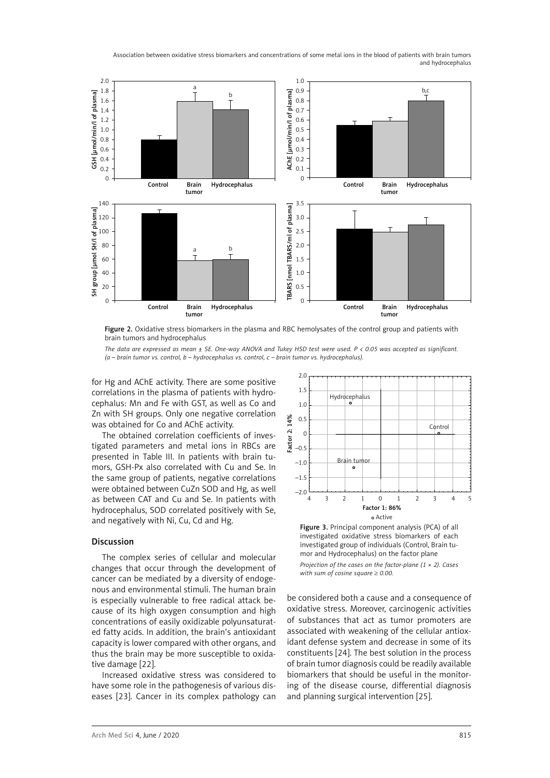Association between oxidative stress biomarkers and concentrations of some metal ions in the blood of patients with brain tumors and hydrocephalus



Figure 2. Oxidative stress biomarkers in the plasma and RBC hemolysates of the control group and patients with brain tumors and hydrocephalus

*The data are expressed as mean ± SE. One-way ANOVA and Tukey HSD test were used. P < 0.05 was accepted as significant.* 

for Hg and AChE activity. There are some positive correlations in the plasma of patients with hydrocephalus: Mn and Fe with GST, as well as Co and Zn with SH groups. Only one negative correlation was obtained for Co and AChE activity.

The obtained correlation coefficients of investigated parameters and metal ions in RBCs are presented in Table III. In patients with brain tumors, GSH-Px also correlated with Cu and Se. In the same group of patients, negative correlations were obtained between CuZn SOD and Hg, as well as between CAT and Cu and Se. In patients with hydrocephalus, SOD correlated positively with Se, and negatively with Ni, Cu, Cd and Hg.

# Discussion

The complex series of cellular and molecular changes that occur through the development of cancer can be mediated by a diversity of endogenous and environmental stimuli. The human brain is especially vulnerable to free radical attack because of its high oxygen consumption and high concentrations of easily oxidizable polyunsaturated fatty acids. In addition, the brain's antioxidant capacity is lower compared with other organs, and thus the brain may be more susceptible to oxidative damage [22].

Increased oxidative stress was considered to have some role in the pathogenesis of various diseases [23]. Cancer in its complex pathology can



Figure 3. Principal component analysis (PCA) of all investigated oxidative stress biomarkers of each investigated group of individuals (Control, Brain tumor and Hydrocephalus) on the factor plane *Projection of the cases on the factor-plane (1 × 2). Cases with sum of cosine square* ≥ *0.00.*

be considered both a cause and a consequence of oxidative stress. Moreover, carcinogenic activities of substances that act as tumor promoters are associated with weakening of the cellular antioxidant defense system and decrease in some of its constituents [24]. The best solution in the process of brain tumor diagnosis could be readily available biomarkers that should be useful in the monitoring of the disease course, differential diagnosis and planning surgical intervention [25].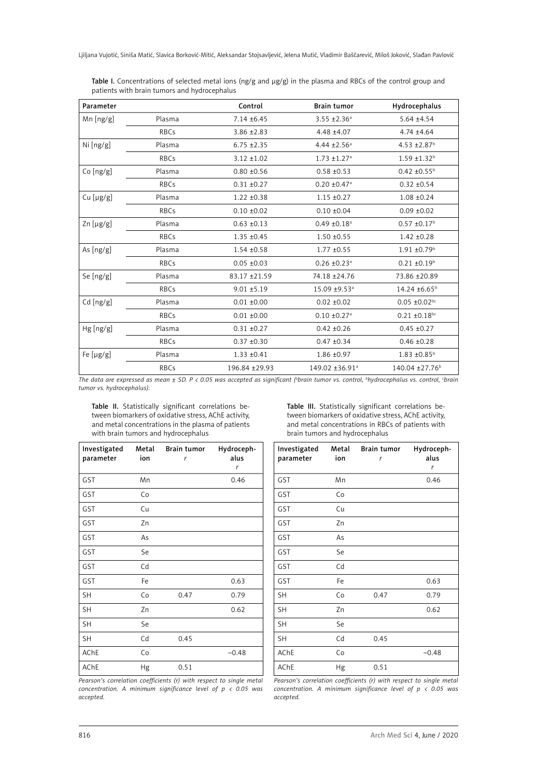| Parameter      |             | Control         | <b>Brain tumor</b>           | Hydrocephalus              |
|----------------|-------------|-----------------|------------------------------|----------------------------|
| Mn [ng/g]      | Plasma      | $7.14 \pm 6.45$ | $3.55 \pm 2.36^a$            | $5.64 \pm 4.54$            |
|                | <b>RBCs</b> | $3.86 \pm 2.83$ | $4.48 + 4.07$                | $4.74 \pm 4.64$            |
| Ni [ng/g]      | Plasma      | $6.75 \pm 2.35$ | 4.44 $\pm$ 2.56 <sup>a</sup> | 4.53 ± 2.87 <sup>b</sup>   |
|                | <b>RBCs</b> | $3.12 \pm 1.02$ | $1.73 \pm 1.27$ <sup>a</sup> | $1.59 \pm 1.32^b$          |
| Co[ng/g]       | Plasma      | $0.80 + 0.56$   | $0.58 + 0.53$                | $0.42 \pm 0.55^{\text{b}}$ |
|                | <b>RBCs</b> | $0.31 \pm 0.27$ | $0.20 \pm 0.47$ <sup>a</sup> | $0.32 + 0.54$              |
| Cu [µg/g]      | Plasma      | $1.22 \pm 0.38$ | $1.15 \pm 0.27$              | $1.08 + 0.24$              |
|                | <b>RBCs</b> | $0.10 \pm 0.02$ | $0.10 \pm 0.04$              | $0.09 \pm 0.02$            |
| $Zn$ [µg/g]    | Plasma      | $0.63 \pm 0.13$ | $0.49 \pm 0.18$ <sup>a</sup> | $0.57 \pm 0.17^b$          |
|                | <b>RBCs</b> | $1.35 \pm 0.45$ | $1.50 + 0.55$                | $1.42 \pm 0.28$            |
| As $[ng/g]$    | Plasma      | $1.54 \pm 0.58$ | $1.77 \pm 0.55$              | $1.91 \pm 0.79^{\text{b}}$ |
|                | <b>RBCs</b> | $0.05 \pm 0.03$ | $0.26 \pm 0.23$ <sup>a</sup> | $0.21 \pm 0.19^b$          |
| Se [ng/g]      | Plasma      | 83.17 ± 21.59   | 74.18 ±24.76                 | 73.86 ±20.89               |
|                | <b>RBCs</b> | $9.01 \pm 5.19$ | 15.09 ±9.53 <sup>a</sup>     | 14.24 ±6.65 <sup>b</sup>   |
| Cd [ng/g]      | Plasma      | $0.01 \pm 0.00$ | $0.02 \pm 0.02$              | $0.05 \pm 0.02$ bc         |
|                | <b>RBCs</b> | $0.01 \pm 0.00$ | $0.10 \pm 0.27$ <sup>a</sup> | $0.21 \pm 0.18$ bc         |
| Hg[ng/g]       | Plasma      | $0.31 \pm 0.27$ | $0.42 \pm 0.26$              | $0.45 \pm 0.27$            |
|                | <b>RBCs</b> | $0.37 + 0.30$   | $0.47 + 0.34$                | $0.46 \pm 0.28$            |
| Fe $[\mu g/g]$ | Plasma      | $1.33 \pm 0.41$ | $1.86 \pm 0.97$              | $1.83 \pm 0.85^{\text{b}}$ |
|                | <b>RBCs</b> | 196.84 ±29.93   | 149.02 ±36.91 <sup>a</sup>   | 140.04 ±27.76 <sup>b</sup> |

Table I. Concentrations of selected metal ions (ng/g and µg/g) in the plasma and RBCs of the control group and patients with brain tumors and hydrocephalus

The data are expressed as mean ± SD. P < 0.05 was accepted as significant (<sup>a</sup>brain tumor vs. control, <sup>b</sup>hydrocephalus vs. control, <sup>c</sup>brain *tumor vs. hydrocephalus).*

Table II. Statistically significant correlations between biomarkers of oxidative stress, AChE activity, and metal concentrations in the plasma of patients with brain tumors and hydrocephalus

Table III. Statistically significant correlations between biomarkers of oxidative stress, AChE activity, and metal concentrations in RBCs of patients with brain tumors and hydrocephalus

| Investigated<br>parameter | Metal<br>ion | <b>Brain tumor</b><br>r | Hydroceph-<br>alus<br>r |
|---------------------------|--------------|-------------------------|-------------------------|
| GST                       | Mn           |                         | 0.46                    |
| GST                       | Co           |                         |                         |
| GST                       | Cu           |                         |                         |
| <b>GST</b>                | Zn           |                         |                         |
| GST                       | As           |                         |                         |
| GST                       | Se           |                         |                         |
| GST                       | Cd           |                         |                         |
| GST                       | Fe           |                         | 0.63                    |
| SH                        | Co           | 0.47                    | 0.79                    |
| <b>SH</b>                 | Zn           |                         | 0.62                    |
| <b>SH</b>                 | Se           |                         |                         |
| SH                        | Cd           | 0.45                    |                         |
| <b>AChE</b>               | Co           |                         | $-0.48$                 |
| AChE                      | Hg           | 0.51                    |                         |

| Investigated<br>parameter | Metal<br>ion | <b>Brain tumor</b><br>r | Hydroceph-<br>alus<br>r |
|---------------------------|--------------|-------------------------|-------------------------|
| GST                       | Mn           |                         | 0.46                    |
| GST                       | Co           |                         |                         |
| GST                       | Cu           |                         |                         |
| GST                       | Zn           |                         |                         |
| GST                       | As           |                         |                         |
| GST                       | Se           |                         |                         |
| GST                       | Cd           |                         |                         |
| GST                       | Fe           |                         | 0.63                    |
| <b>SH</b>                 | Co           | 0.47                    | 0.79                    |
| <b>SH</b>                 | Zn           |                         | 0.62                    |
| <b>SH</b>                 | Se           |                         |                         |
| <b>SH</b>                 | Cd           | 0.45                    |                         |
| AChE                      | Co           |                         | $-0.48$                 |
| AChE                      | Hg           | 0.51                    |                         |

*Pearson's correlation coefficients (r) with respect to single metal concentration. A minimum significance level of p < 0.05 was accepted.*

*Pearson's correlation coefficients (r) with respect to single metal concentration. A minimum significance level of p < 0.05 was accepted.*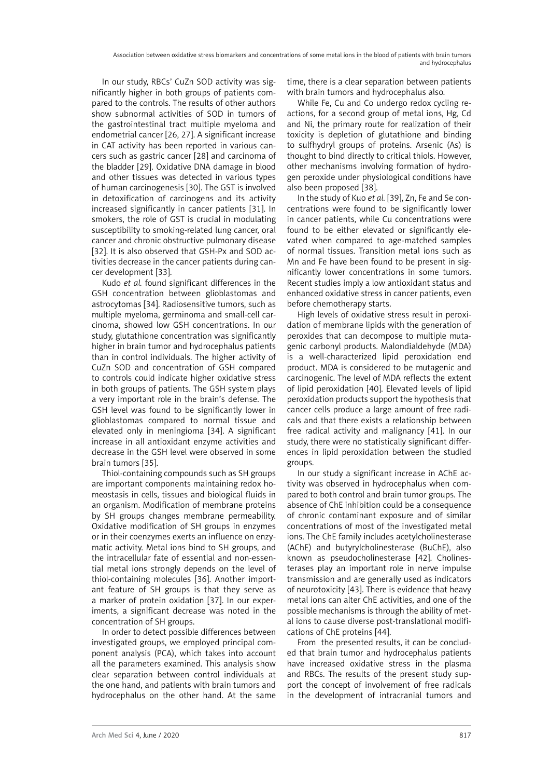In our study, RBCs' CuZn SOD activity was significantly higher in both groups of patients compared to the controls. The results of other authors show subnormal activities of SOD in tumors of the gastrointestinal tract multiple myeloma and endometrial cancer [26, 27]. A significant increase in CAT activity has been reported in various cancers such as gastric cancer [28] and carcinoma of the bladder [29]. Oxidative DNA damage in blood and other tissues was detected in various types of human carcinogenesis [30]. The GST is involved in detoxification of carcinogens and its activity increased significantly in cancer patients [31]. In smokers, the role of GST is crucial in modulating susceptibility to smoking-related lung cancer, oral cancer and chronic obstructive pulmonary disease [32]. It is also observed that GSH-Px and SOD activities decrease in the cancer patients during cancer development [33].

Kudo *et al.* found significant differences in the GSH concentration between glioblastomas and astrocytomas [34]. Radiosensitive tumors, such as multiple myeloma, germinoma and small-cell carcinoma, showed low GSH concentrations. In our study, glutathione concentration was significantly higher in brain tumor and hydrocephalus patients than in control individuals. The higher activity of CuZn SOD and concentration of GSH compared to controls could indicate higher oxidative stress in both groups of patients. The GSH system plays a very important role in the brain's defense. The GSH level was found to be significantly lower in glioblastomas compared to normal tissue and elevated only in meningioma [34]. A significant increase in all antioxidant enzyme activities and decrease in the GSH level were observed in some brain tumors [35].

Thiol-containing compounds such as SH groups are important components maintaining redox homeostasis in cells, tissues and biological fluids in an organism. Modification of membrane proteins by SH groups changes membrane permeability. Oxidative modification of SH groups in enzymes or in their coenzymes exerts an influence on enzymatic activity. Metal ions bind to SH groups, and the intracellular fate of essential and non-essential metal ions strongly depends on the level of thiol-containing molecules [36]. Another important feature of SH groups is that they serve as a marker of protein oxidation [37]. In our experiments, a significant decrease was noted in the concentration of SH groups.

In order to detect possible differences between investigated groups, we employed principal component analysis (PCA), which takes into account all the parameters examined. This analysis show clear separation between control individuals at the one hand, and patients with brain tumors and hydrocephalus on the other hand. At the same time, there is a clear separation between patients with brain tumors and hydrocephalus also.

While Fe, Cu and Co undergo redox cycling reactions, for a second group of metal ions, Hg, Cd and Ni, the primary route for realization of their toxicity is depletion of glutathione and binding to sulfhydryl groups of proteins. Arsenic (As) is thought to bind directly to critical thiols. However, other mechanisms involving formation of hydrogen peroxide under physiological conditions have also been proposed [38].

In the study of Kuo *et al.* [39], Zn, Fe and Se concentrations were found to be significantly lower in cancer patients, while Cu concentrations were found to be either elevated or significantly elevated when compared to age-matched samples of normal tissues. Transition metal ions such as Mn and Fe have been found to be present in significantly lower concentrations in some tumors. Recent studies imply a low antioxidant status and enhanced oxidative stress in cancer patients, even before chemotherapy starts.

High levels of oxidative stress result in peroxidation of membrane lipids with the generation of peroxides that can decompose to multiple mutagenic carbonyl products. Malondialdehyde (MDA) is a well-characterized lipid peroxidation end product. MDA is considered to be mutagenic and carcinogenic. The level of MDA reflects the extent of lipid peroxidation [40]. Elevated levels of lipid peroxidation products support the hypothesis that cancer cells produce a large amount of free radicals and that there exists a relationship between free radical activity and malignancy [41]. In our study, there were no statistically significant differences in lipid peroxidation between the studied groups.

In our study a significant increase in AChE activity was observed in hydrocephalus when compared to both control and brain tumor groups. The absence of ChE inhibition could be a consequence of chronic contaminant exposure and of similar concentrations of most of the investigated metal ions. The ChE family includes acetylcholinesterase (AChE) and butyrylcholinesterase (BuChE), also known as pseudocholinesterase [42]. Cholinesterases play an important role in nerve impulse transmission and are generally used as indicators of neurotoxicity [43]. There is evidence that heavy metal ions can alter ChE activities, and one of the possible mechanisms is through the ability of metal ions to cause diverse post-translational modifications of ChE proteins [44].

From the presented results, it can be concluded that brain tumor and hydrocephalus patients have increased oxidative stress in the plasma and RBCs. The results of the present study support the concept of involvement of free radicals in the development of intracranial tumors and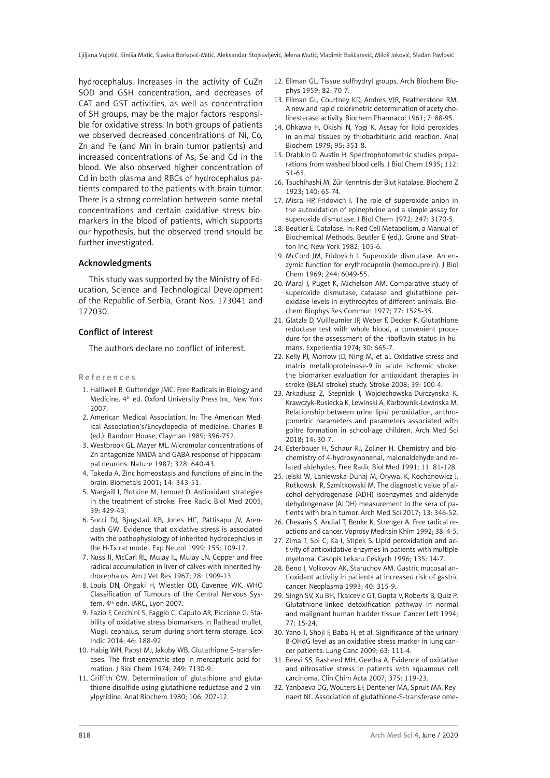hydrocephalus. Increases in the activity of CuZn SOD and GSH concentration, and decreases of CAT and GST activities, as well as concentration of SH groups, may be the major factors responsible for oxidative stress. In both groups of patients we observed decreased concentrations of Ni, Co, Zn and Fe (and Mn in brain tumor patients) and increased concentrations of As, Se and Cd in the blood. We also observed higher concentration of Cd in both plasma and RBCs of hydrocephalus patients compared to the patients with brain tumor. There is a strong correlation between some metal concentrations and certain oxidative stress biomarkers in the blood of patients, which supports our hypothesis, but the observed trend should be further investigated.

#### Acknowledgments

This study was supported by the Ministry of Education, Science and Technological Development of the Republic of Serbia, Grant Nos. 173041 and 172030.

#### Conflict of interest

The authors declare no conflict of interest.

#### References

- 1. Halliwell B, Gutteridge JMC. Free Radicals in Biology and Medicine. 4<sup>th</sup> ed. Oxford University Press Inc, New York 2007.
- 2. American Medical Association. In: The American Medical Association's/Encyclopedia of medicine. Charles B (ed.). Random House, Clayman 1989; 396-752.
- 3. Westbrook GL, Mayer ML. Micromolar concentrations of Zn antagonize NMDA and GABA response of hippocampal neurons. Nature 1987; 328: 640-43.
- 4. Takeda A. Zinc homeostasis and functions of zinc in the brain. Biometals 2001; 14: 343-51.
- 5. Margaill I, Plotkine M, Lerouet D. Antioxidant strategies in the treatment of stroke. [Free Radic Biol Med](https://www.journals.elsevier.com/free-radical-biology-and-medicine/) 2005; 39: 429-43.
- 6. Socci DJ, Bjugstad KB, Jones HC, Pattisapu JV, Arendash GW. Evidence that oxidative stress is associated with the pathophysiology of inherited hydrocephalus in the H-Tx rat model. [Exp Neurol 1999;](https://www.sciencedirect.com/science/journal/00144886) [155:](https://www.sciencedirect.com/science/journal/00144886/155/1) 109-17.
- 7. Nuss JI, McCarl RL, Mulay IL, Mulay LN. Copper and free radical accumulation in liver of calves with inherited hydrocephalus. Am J Vet Res 1967; 28: 1909-13.
- 8. Louis DN, Ohgaki H, Wiestler OD, Cavenee WK. WHO Classification of Tumours of the Central Nervous System. 4<sup>th</sup> edn. IARC, Lyon 2007.
- 9. Fazio F, Cecchini S, Faggio C, Caputo AR, Piccione G. Stability of oxidative stress biomarkers in flathead mullet, Mugil cephalus, serum during short-term storage. [Ecol](https://www.sciencedirect.com/science/journal/1470160X)  [Indic 2014;](https://www.sciencedirect.com/science/journal/1470160X) 46: 188-92.
- 10. Habig WH, Pabst MJ, Jakoby WB. Glutathione S-transferases. The first enzymatic step in mercapturic acid formation. J Biol Chem 1974; 249: 7130-9.
- 11. Griffith OW. Determination of glutathione and glutathione disulfide using glutathione reductase and 2-vinylpyridine. [Anal Biochem](https://www.sciencedirect.com/science/journal/00032697) 1980; 106: 207-12.
- 12. Ellman GL. Tissue sulfhydryl groups. [Arch Biochem Bio](https://www.sciencedirect.com/science/journal/00039861)[phys](https://www.sciencedirect.com/science/journal/00039861) 1959; 82: 70-7.
- 13. Ellman GL, Courtney KD, Andres VJR, Featherstone RM. A new and rapid colorimetric determination of acetylcholinesterase activity. [Biochem Pharmacol](https://www.sciencedirect.com/science/journal/00062952) 1961; 7: 88-95.
- 14. Ohkawa H, Okishi N, Yogi K. Assay for lipid peroxides in animal tissues by thiobarbituric acid reaction. Anal Biochem 1979; 95: 351-8.
- 15. Drabkin D, Austin H. Spectrophotometric studies preparations from washed blood cells. J Biol Chem 1935; 112: 51-65.
- 16. Tsuchihashi M. Zür Kenntnis der Blut katalase. Biochem Z 1923; 140: 65-74.
- 17. Misra HP, Fridovich I. The role of superoxide anion in the autoxidation of epinephrine and a simple assay for superoxide dismutase. J Biol Chem 1972; 247: 3170-5.
- 18. Beutler E. Catalase. In: Red Cell Metabolism, a Manual of Biochemical Methods. Beutler E (ed.). Grune and Stratton Inc, New York 1982; 105-6.
- 19. McCord JM, Fridovich I. Superoxide dismutase. An enzymic function for erythrocuprein (hemocuprein). J Biol Chem 1969; 244: 6049-55.
- 20. Maral J, Puget K, Michelson AM. Comparative study of superoxide dismutase, catalase and glutathione peroxidase levels in erythrocytes of different animals. [Bio](https://www.sciencedirect.com/science/journal/0006291X)[chem Biophys Res Commun 1977;](https://www.sciencedirect.com/science/journal/0006291X) 77: 1525-35.
- 21. Glatzle D, Vuilleumier JP, Weber F, Decker K. Glutathione reductase test with whole blood, a convenient procedure for the assessment of the riboflavin status in humans. Experientia 1974; 30: 665-7.
- 22. Kelly PJ, Morrow JD, Ning M, et al. Oxidative stress and matrix metalloproteinase-9 in acute ischemic stroke: the biomarker evaluation for antioxidant therapies in stroke (BEAT-stroke) study. Stroke 2008; 39: 100-4.
- 23. Arkadiusz Z, Stepniak J, Wojciechowska-Durczynska K, Krawczyk-Rusiecka K, Lewinski A, Karbownik-Lewinska M. Relationship between urine lipid peroxidation, anthropometric parameters and parameters associated with goitre formation in school-age children. Arch Med Sci 2018; 14: 30-7.
- 24. Esterbauer H, Schaur RJ, Zollner H. Chemistry and biochemistry of 4-hydroxynonenal, malonaldehyde and related aldehydes. [Free Radic Biol Med](https://www.sciencedirect.com/science/journal/08915849) [1991;](https://www.sciencedirect.com/science/journal/08915849/11/1) 11: 81-128.
- 25. Jelski W, Laniewska-Dunaj M, Orywal K, Kochanowicz J, Rutkowski R, Szmitkowski M. The diagnostic value of alcohol dehydrogenase (ADH) isoenzymes and aldehyde dehydrogenase (ALDH) measurement in the sera of patients with brain tumor. Arch Med Sci 2017; 13: 346-52.
- 26. Chevaris S, Andial T, Benke K, Strenger A. Free radical reactions and cancer. [Voprosy Meditsin Khim](https://www.ncbi.nlm.nih.gov/labs/journals/vopr-med-khim/) 1992; 38: 4-5.
- 27. Zima T, Spi C, Ka I, Stipek S. Lipid peroxidation and activity of antioxidative enzymes in patients with multiple myeloma. [Casopis Lekaru Ceskych](http://europepmc.org/search?query=JOURNAL:%22Cas+Lek+Cesk%22&page=1) 1996; 135: 14-7.
- 28. Beno I, Volkovov AK, Staruchov AM. Gastric mucosal antioxidant activity in patients at increased risk of gastric cancer. Neoplasma 1993; 40: 315-9.
- 29. Singh SV, Xu BH, Tkalcevic GT, Gupta V, Roberts B, Quiz P. Glutathione-linked detoxification pathway in normal and malignant human bladder tissue. [Cancer Lett](https://www.sciencedirect.com/science/journal/03043835) 1994; [77:](file:///D:/Prace/AMS%20manuscript%20accepted/tekst/2019/../../Korisnik/Desktop/vujotic kuca Journal of toxicology and environmental health, Part A/ 77 (1) 15-24.
- 30. Yano T, Shoji F, Baba H, et al. Significance of the urinary 8-OHdG level as an oxidative stress marker in lung cancer patients. Lung Canc 2009; [63:](file:///D:/Prace/AMS%20manuscript%20accepted/tekst/2019/../../Korisnik/Desktop/vujotic kuca Journal of toxicology and environmental health, Part A/ 63(1) 111-4.
- 31. Beevi SS, Rasheed MH, Geetha A. Evidence of oxidative and nitrosative stress in patients with squamous cell carcinoma. Clin Chim Acta 2007; 375: 119-23.
- 32. Yanbaeva DG, Wouters EF, Dentener MA, Spruit MA, Reynaert NL. Association of glutathione-S-transferase ome-